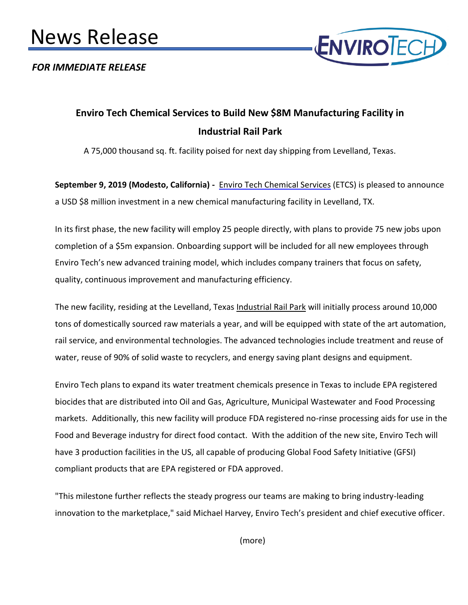# News Release

*FOR IMMEDIATE RELEASE*



# **Enviro Tech Chemical Services to Build New \$8M Manufacturing Facility in Industrial Rail Park**

A 75,000 thousand sq. ft. facility poised for next day shipping from Levelland, Texas.

**September 9, 2019 (Modesto, California) [-](https://envirotech.com/)** [Enviro Tech Chemical Services](https://envirotech.com/) [\(](https://envirotech.com/)ETCS) is pleased to announce a USD \$8 million investment in a new chemical manufacturing facility in Levelland, TX.

In its first phase, the new facility will employ 25 people directly, with plans to provide 75 new jobs upon completion of a \$5m expansion. Onboarding support will be included for all new employees through Enviro Tech's new advanced training model, which includes company trainers that focus on safety, quality, continuous improvement and manufacturing efficiency.

The new facility, residing at the Levelland, Texas [Industrial Rail Park](https://www.golevelland.com/industrial-rail-park) will initially process around 10,000 tons of domestically sourced raw materials a year, and will be equipped with state of the art automation, rail service, and environmental technologies. The advanced technologies include treatment and reuse of water, reuse of 90% of solid waste to recyclers, and energy saving plant designs and equipment.

Enviro Tech plans to expand its water treatment chemicals presence in Texas to include EPA registered biocides that are distributed into Oil and Gas, Agriculture, Municipal Wastewater and Food Processing markets. Additionally, this new facility will produce FDA registered no-rinse processing aids for use in the Food and Beverage industry for direct food contact. With the addition of the new site, Enviro Tech will have 3 production facilities in the US, all capable of producing Global Food Safety Initiative (GFSI) compliant products that are EPA registered or FDA approved.

"This milestone further reflects the steady progress our teams are making to bring industry-leading innovation to the marketplace," said Michael Harvey, Enviro Tech's president and chief executive officer.

(more)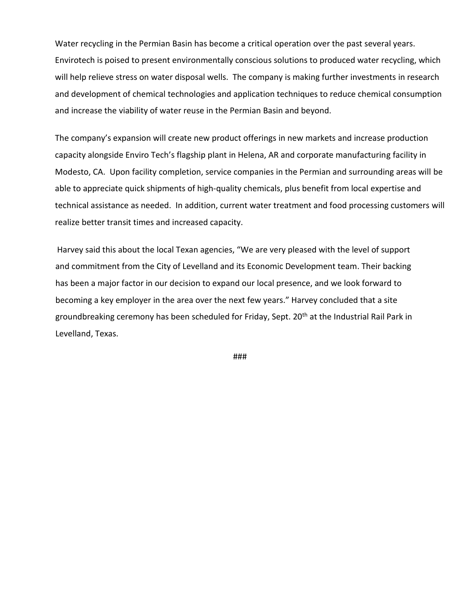Water recycling in the Permian Basin has become a critical operation over the past several years. Envirotech is poised to present environmentally conscious solutions to produced water recycling, which will help relieve stress on water disposal wells. The company is making further investments in research and development of chemical technologies and application techniques to reduce chemical consumption and increase the viability of water reuse in the Permian Basin and beyond.

The company's expansion will create new product offerings in new markets and increase production capacity alongside Enviro Tech's flagship plant in Helena, AR and corporate manufacturing facility in Modesto, CA. Upon facility completion, service companies in the Permian and surrounding areas will be able to appreciate quick shipments of high-quality chemicals, plus benefit from local expertise and technical assistance as needed. In addition, current water treatment and food processing customers will realize better transit times and increased capacity.

Harvey said this about the local Texan agencies, "We are very pleased with the level of support and commitment from the City of Levelland and its Economic Development team. Their backing has been a major factor in our decision to expand our local presence, and we look forward to becoming a key employer in the area over the next few years." Harvey concluded that a site groundbreaking ceremony has been scheduled for Friday, Sept. 20<sup>th</sup> at the Industrial Rail Park in Levelland, Texas.

###